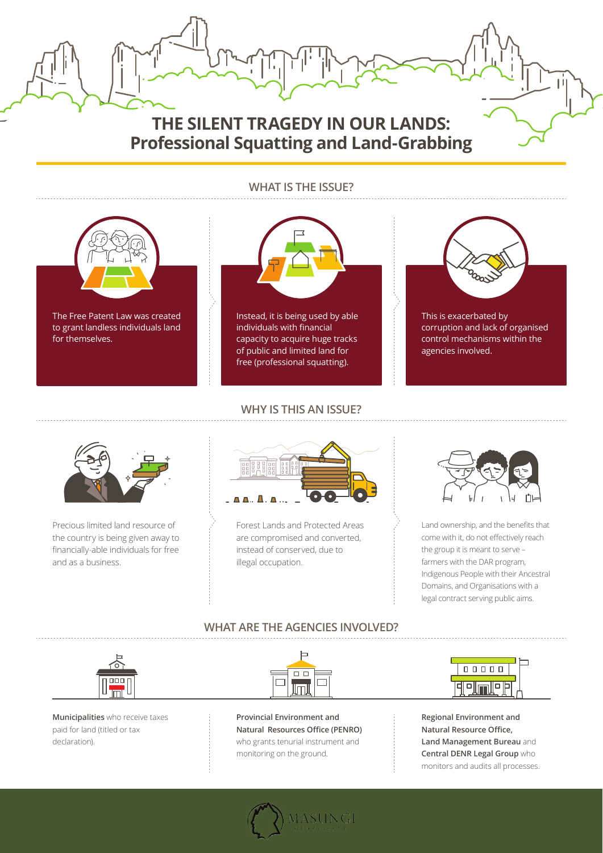## **WHAT IS THE ISSUE?**



## **WHY IS THIS AN ISSUE?**

## **WHAT ARE THE AGENCIES INVOLVED?**





**Professional Squatting and Land-Grabbing**

**Municipalities** who receive taxes paid for land (titled or tax declaration).

**Provincial Environment and Natural Resources Office (PENRO)** who grants tenurial instrument and monitoring on the ground.

**Regional Environment and Natural Resource Office, Land Management Bureau** and **Central DENR Legal Group** who monitors and audits all processes.





Precious limited land resource of the country is being given away to financially-able individuals for free and as a business.



Forest Lands and Protected Areas are compromised and converted, instead of conserved, due to illegal occupation.



Land ownership, and the benefits that come with it, do not effectively reach the group it is meant to serve – farmers with the DAR program, Indigenous People with their Ancestral Domains, and Organisations with a legal contract serving public aims.

The Free Patent Law was created to grant landless individuals land for themselves.



Instead, it is being used by able individuals with financial capacity to acquire huge tracks of public and limited land for free (professional squatting).



This is exacerbated by corruption and lack of organised control mechanisms within the agencies involved.